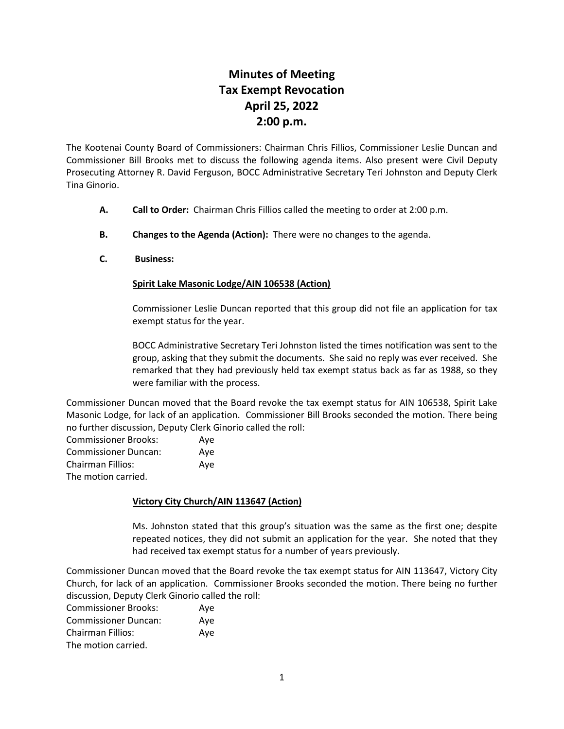## **Minutes of Meeting Tax Exempt Revocation April 25, 2022 2:00 p.m.**

The Kootenai County Board of Commissioners: Chairman Chris Fillios, Commissioner Leslie Duncan and Commissioner Bill Brooks met to discuss the following agenda items. Also present were Civil Deputy Prosecuting Attorney R. David Ferguson, BOCC Administrative Secretary Teri Johnston and Deputy Clerk Tina Ginorio.

- **A. Call to Order:** Chairman Chris Fillios called the meeting to order at 2:00 p.m.
- **B. Changes to the Agenda (Action):** There were no changes to the agenda.
- **C. Business:**

## **Spirit Lake Masonic Lodge/AIN 106538 (Action)**

Commissioner Leslie Duncan reported that this group did not file an application for tax exempt status for the year.

BOCC Administrative Secretary Teri Johnston listed the times notification was sent to the group, asking that they submit the documents. She said no reply was ever received. She remarked that they had previously held tax exempt status back as far as 1988, so they were familiar with the process.

Commissioner Duncan moved that the Board revoke the tax exempt status for AIN 106538, Spirit Lake Masonic Lodge, for lack of an application. Commissioner Bill Brooks seconded the motion. There being no further discussion, Deputy Clerk Ginorio called the roll:

| <b>Commissioner Brooks:</b> | Ave |
|-----------------------------|-----|
| <b>Commissioner Duncan:</b> | Ave |
| <b>Chairman Fillios:</b>    | Ave |
| The motion carried.         |     |

## **Victory City Church/AIN 113647 (Action)**

Ms. Johnston stated that this group's situation was the same as the first one; despite repeated notices, they did not submit an application for the year. She noted that they had received tax exempt status for a number of years previously.

Commissioner Duncan moved that the Board revoke the tax exempt status for AIN 113647, Victory City Church, for lack of an application. Commissioner Brooks seconded the motion. There being no further discussion, Deputy Clerk Ginorio called the roll:

| <b>Commissioner Brooks:</b> | Ave |
|-----------------------------|-----|
| <b>Commissioner Duncan:</b> | Ave |
| <b>Chairman Fillios:</b>    | Aye |
| The motion carried.         |     |